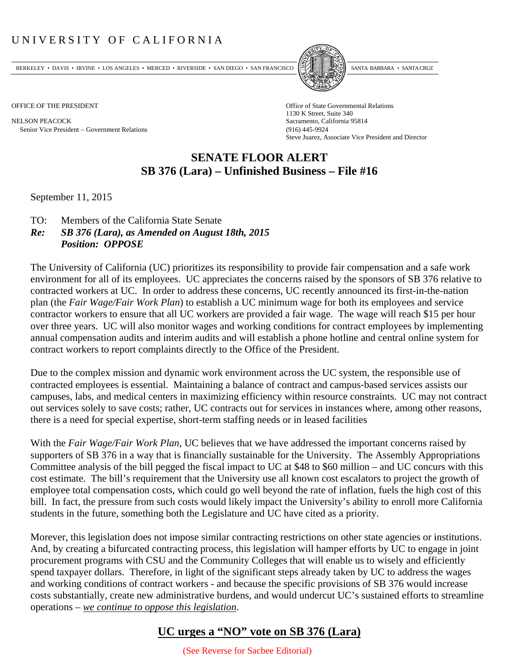## UNIVERSITY OF CALIFORNIA

BERKELEY • DAVIS • IRVINE • LOS ANGELES • MERCED • RIVERSIDE • SAN DIEGO • SAN FRANCISCO PARTA EXIMITAL BARBARA • SANTA CRUZ

NELSON PEACOCK Sacramento, California 95814 Senior Vice President Government Relations (916) 445-9924



OFFICE OF THE PRESIDENT STATES OF THE PRESIDENT 1130 K Street, Suite 340 Steve Juarez, Associate Vice President and Director

## **SENATE FLOOR ALERT SB 376 (Lara) – Unfinished Business – File #16**

September 11, 2015

- TO: Members of the California State Senate
- *Re: SB 376 (Lara), as Amended on August 18th, 2015 Position: OPPOSE*

The University of California (UC) prioritizes its responsibility to provide fair compensation and a safe work environment for all of its employees. UC appreciates the concerns raised by the sponsors of SB 376 relative to contracted workers at UC. In order to address these concerns, UC recently announced its first-in-the-nation plan (the *Fair Wage/Fair Work Plan*) to establish a UC minimum wage for both its employees and service contractor workers to ensure that all UC workers are provided a fair wage. The wage will reach \$15 per hour over three years. UC will also monitor wages and working conditions for contract employees by implementing annual compensation audits and interim audits and will establish a phone hotline and central online system for contract workers to report complaints directly to the Office of the President.

Due to the complex mission and dynamic work environment across the UC system, the responsible use of contracted employees is essential. Maintaining a balance of contract and campus‐based services assists our campuses, labs, and medical centers in maximizing efficiency within resource constraints. UC may not contract out services solely to save costs; rather, UC contracts out for services in instances where, among other reasons, there is a need for special expertise, short-term staffing needs or in leased facilities

With the *Fair Wage/Fair Work Plan*, UC believes that we have addressed the important concerns raised by supporters of SB 376 in a way that is financially sustainable for the University. The Assembly Appropriations Committee analysis of the bill pegged the fiscal impact to UC at \$48 to \$60 million – and UC concurs with this cost estimate. The bill's requirement that the University use all known cost escalators to project the growth of employee total compensation costs, which could go well beyond the rate of inflation, fuels the high cost of this bill. In fact, the pressure from such costs would likely impact the University's ability to enroll more California students in the future, something both the Legislature and UC have cited as a priority.

Morever, this legislation does not impose similar contracting restrictions on other state agencies or institutions. And, by creating a bifurcated contracting process, this legislation will hamper efforts by UC to engage in joint procurement programs with CSU and the Community Colleges that will enable us to wisely and efficiently spend taxpayer dollars. Therefore, in light of the significant steps already taken by UC to address the wages and working conditions of contract workers - and because the specific provisions of SB 376 would increase costs substantially, create new administrative burdens, and would undercut UC's sustained efforts to streamline operations – *we continue to oppose this legislation*.

## **UC urges a "NO" vote on SB 376 (Lara)**